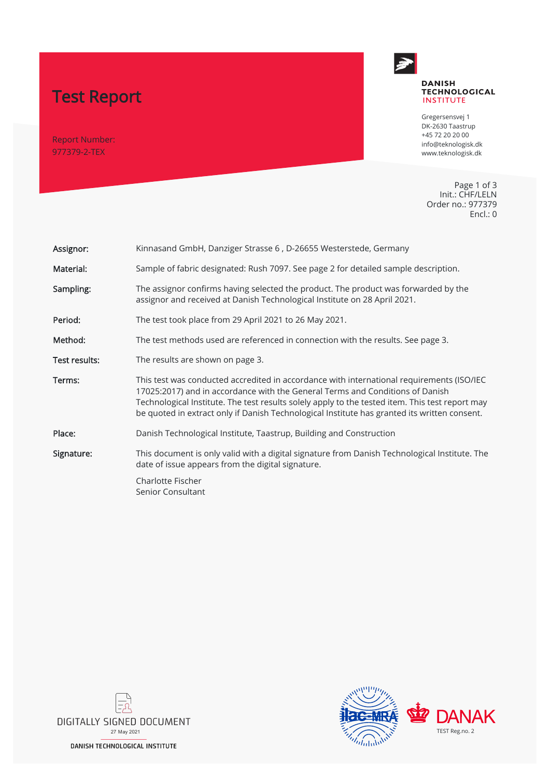# Test Report

Report Number: 977379-2-TEX



#### **DANISH TECHNOLOGICAL INSTITUTE**

Gregersensvej 1 DK-2630 Taastrup +45 72 20 20 00 info@teknologisk.dk www.teknologisk.dk

Page 1 of 3 Init.: CHF/LELN Order no.: 977379 Encl.: 0

| Assignor:     | Kinnasand GmbH, Danziger Strasse 6, D-26655 Westerstede, Germany                                                                                                                                                                                                                                                                                                              |  |
|---------------|-------------------------------------------------------------------------------------------------------------------------------------------------------------------------------------------------------------------------------------------------------------------------------------------------------------------------------------------------------------------------------|--|
| Material:     | Sample of fabric designated: Rush 7097. See page 2 for detailed sample description.                                                                                                                                                                                                                                                                                           |  |
| Sampling:     | The assignor confirms having selected the product. The product was forwarded by the<br>assignor and received at Danish Technological Institute on 28 April 2021.                                                                                                                                                                                                              |  |
| Period:       | The test took place from 29 April 2021 to 26 May 2021.                                                                                                                                                                                                                                                                                                                        |  |
| Method:       | The test methods used are referenced in connection with the results. See page 3.                                                                                                                                                                                                                                                                                              |  |
| Test results: | The results are shown on page 3.                                                                                                                                                                                                                                                                                                                                              |  |
| Terms:        | This test was conducted accredited in accordance with international requirements (ISO/IEC<br>17025:2017) and in accordance with the General Terms and Conditions of Danish<br>Technological Institute. The test results solely apply to the tested item. This test report may<br>be quoted in extract only if Danish Technological Institute has granted its written consent. |  |
| Place:        | Danish Technological Institute, Taastrup, Building and Construction                                                                                                                                                                                                                                                                                                           |  |
| Signature:    | This document is only valid with a digital signature from Danish Technological Institute. The<br>date of issue appears from the digital signature.                                                                                                                                                                                                                            |  |
|               | Charlotte Fischer<br>Senior Consultant                                                                                                                                                                                                                                                                                                                                        |  |
|               |                                                                                                                                                                                                                                                                                                                                                                               |  |



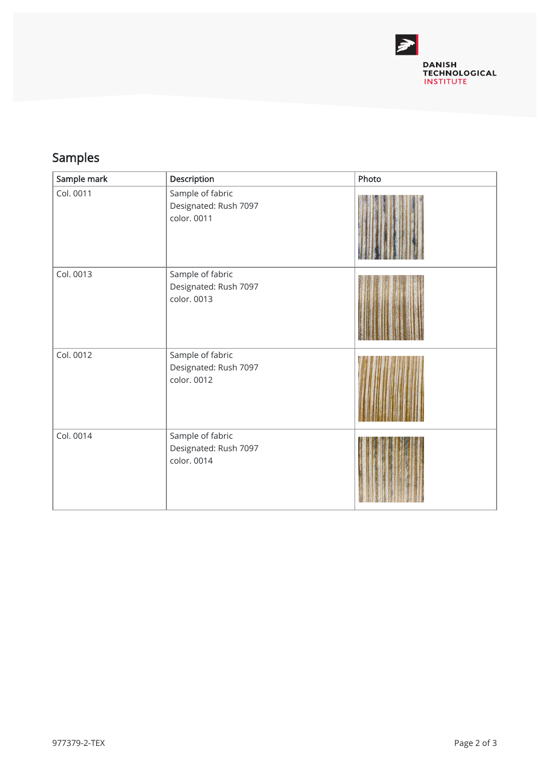

## Samples

| Sample mark | Description                                              | Photo |
|-------------|----------------------------------------------------------|-------|
| Col. 0011   | Sample of fabric<br>Designated: Rush 7097<br>color. 0011 |       |
| Col. 0013   | Sample of fabric<br>Designated: Rush 7097<br>color. 0013 |       |
| Col. 0012   | Sample of fabric<br>Designated: Rush 7097<br>color. 0012 |       |
| Col. 0014   | Sample of fabric<br>Designated: Rush 7097<br>color. 0014 |       |